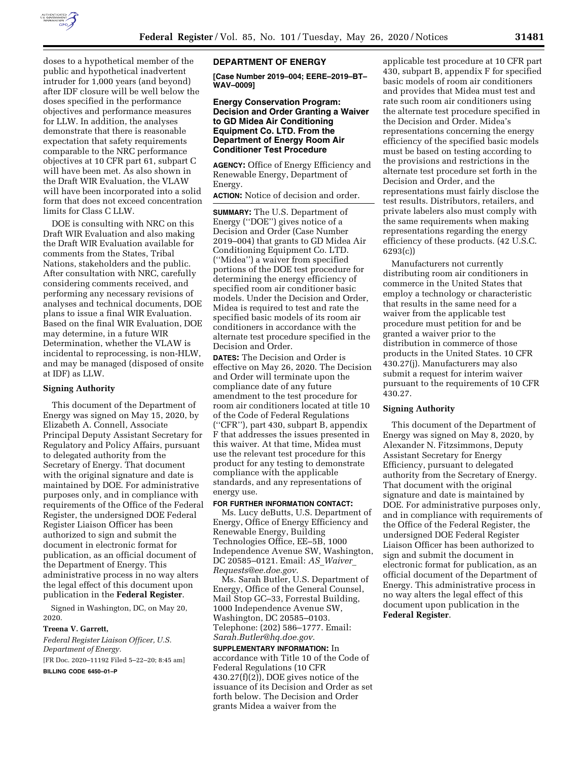

doses to a hypothetical member of the public and hypothetical inadvertent intruder for 1,000 years (and beyond) after IDF closure will be well below the doses specified in the performance objectives and performance measures for LLW. In addition, the analyses demonstrate that there is reasonable expectation that safety requirements comparable to the NRC performance objectives at 10 CFR part 61, subpart C will have been met. As also shown in the Draft WIR Evaluation, the VLAW will have been incorporated into a solid form that does not exceed concentration limits for Class C LLW.

DOE is consulting with NRC on this Draft WIR Evaluation and also making the Draft WIR Evaluation available for comments from the States, Tribal Nations, stakeholders and the public. After consultation with NRC, carefully considering comments received, and performing any necessary revisions of analyses and technical documents, DOE plans to issue a final WIR Evaluation. Based on the final WIR Evaluation, DOE may determine, in a future WIR Determination, whether the VLAW is incidental to reprocessing, is non-HLW, and may be managed (disposed of onsite at IDF) as LLW.

### **Signing Authority**

This document of the Department of Energy was signed on May 15, 2020, by Elizabeth A. Connell, Associate Principal Deputy Assistant Secretary for Regulatory and Policy Affairs, pursuant to delegated authority from the Secretary of Energy. That document with the original signature and date is maintained by DOE. For administrative purposes only, and in compliance with requirements of the Office of the Federal Register, the undersigned DOE Federal Register Liaison Officer has been authorized to sign and submit the document in electronic format for publication, as an official document of the Department of Energy. This administrative process in no way alters the legal effect of this document upon publication in the **Federal Register**.

Signed in Washington, DC, on May 20, 2020.

#### **Treena V. Garrett,**

*Federal Register Liaison Officer, U.S. Department of Energy.*  [FR Doc. 2020–11192 Filed 5–22–20; 8:45 am] **BILLING CODE 6450–01–P** 

#### **DEPARTMENT OF ENERGY**

**[Case Number 2019–004; EERE–2019–BT– WAV–0009]** 

## **Energy Conservation Program: Decision and Order Granting a Waiver to GD Midea Air Conditioning Equipment Co. LTD. From the Department of Energy Room Air Conditioner Test Procedure**

**AGENCY:** Office of Energy Efficiency and Renewable Energy, Department of Energy.

**ACTION:** Notice of decision and order.

**SUMMARY:** The U.S. Department of Energy (''DOE'') gives notice of a Decision and Order (Case Number 2019–004) that grants to GD Midea Air Conditioning Equipment Co. LTD. (''Midea'') a waiver from specified portions of the DOE test procedure for determining the energy efficiency of specified room air conditioner basic models. Under the Decision and Order, Midea is required to test and rate the specified basic models of its room air conditioners in accordance with the alternate test procedure specified in the Decision and Order.

**DATES:** The Decision and Order is effective on May 26, 2020. The Decision and Order will terminate upon the compliance date of any future amendment to the test procedure for room air conditioners located at title 10 of the Code of Federal Regulations (''CFR''), part 430, subpart B, appendix F that addresses the issues presented in this waiver. At that time, Midea must use the relevant test procedure for this product for any testing to demonstrate compliance with the applicable standards, and any representations of energy use.

#### **FOR FURTHER INFORMATION CONTACT:**

Ms. Lucy deButts, U.S. Department of Energy, Office of Energy Efficiency and Renewable Energy, Building Technologies Office, EE–5B, 1000 Independence Avenue SW, Washington, DC 20585–0121. Email: *AS*\_*[Waiver](mailto:AS_Waiver_Requests@ee.doe.gov)*\_ *[Requests@ee.doe.gov.](mailto:AS_Waiver_Requests@ee.doe.gov)* 

Ms. Sarah Butler, U.S. Department of Energy, Office of the General Counsel, Mail Stop GC–33, Forrestal Building, 1000 Independence Avenue SW, Washington, DC 20585–0103. Telephone: (202) 586–1777. Email: *[Sarah.Butler@hq.doe.gov.](mailto:Sarah.Butler@hq.doe.gov)* 

**SUPPLEMENTARY INFORMATION:** In accordance with Title 10 of the Code of Federal Regulations (10 CFR 430.27(f)(2)), DOE gives notice of the issuance of its Decision and Order as set forth below. The Decision and Order grants Midea a waiver from the

applicable test procedure at 10 CFR part 430, subpart B, appendix F for specified basic models of room air conditioners and provides that Midea must test and rate such room air conditioners using the alternate test procedure specified in the Decision and Order. Midea's representations concerning the energy efficiency of the specified basic models must be based on testing according to the provisions and restrictions in the alternate test procedure set forth in the Decision and Order, and the representations must fairly disclose the test results. Distributors, retailers, and private labelers also must comply with the same requirements when making representations regarding the energy efficiency of these products. (42 U.S.C. 6293(c))

Manufacturers not currently distributing room air conditioners in commerce in the United States that employ a technology or characteristic that results in the same need for a waiver from the applicable test procedure must petition for and be granted a waiver prior to the distribution in commerce of those products in the United States. 10 CFR 430.27(j). Manufacturers may also submit a request for interim waiver pursuant to the requirements of 10 CFR 430.27.

#### **Signing Authority**

This document of the Department of Energy was signed on May 8, 2020, by Alexander N. Fitzsimmons, Deputy Assistant Secretary for Energy Efficiency, pursuant to delegated authority from the Secretary of Energy. That document with the original signature and date is maintained by DOE. For administrative purposes only, and in compliance with requirements of the Office of the Federal Register, the undersigned DOE Federal Register Liaison Officer has been authorized to sign and submit the document in electronic format for publication, as an official document of the Department of Energy. This administrative process in no way alters the legal effect of this document upon publication in the **Federal Register**.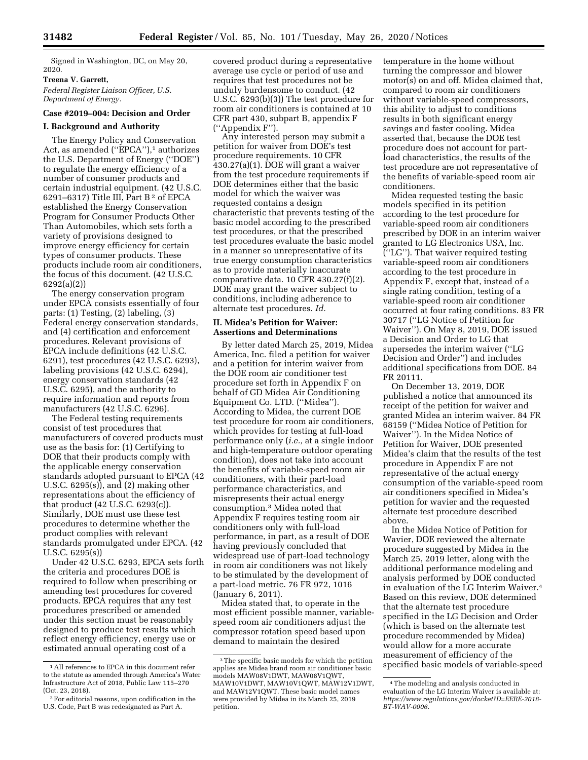Signed in Washington, DC, on May 20, 2020.

#### **Treena V. Garrett,**

*Federal Register Liaison Officer, U.S. Department of Energy.* 

## **Case #2019–004: Decision and Order**

## **I. Background and Authority**

The Energy Policy and Conservation Act, as amended ("EPCA"),<sup>1</sup> authorizes the U.S. Department of Energy (''DOE'') to regulate the energy efficiency of a number of consumer products and certain industrial equipment. (42 U.S.C. 6291–6317) Title III, Part B 2 of EPCA established the Energy Conservation Program for Consumer Products Other Than Automobiles, which sets forth a variety of provisions designed to improve energy efficiency for certain types of consumer products. These products include room air conditioners, the focus of this document. (42 U.S.C. 6292(a)(2))

The energy conservation program under EPCA consists essentially of four parts: (1) Testing, (2) labeling, (3) Federal energy conservation standards, and (4) certification and enforcement procedures. Relevant provisions of EPCA include definitions (42 U.S.C. 6291), test procedures (42 U.S.C. 6293), labeling provisions (42 U.S.C. 6294), energy conservation standards (42 U.S.C. 6295), and the authority to require information and reports from manufacturers (42 U.S.C. 6296).

The Federal testing requirements consist of test procedures that manufacturers of covered products must use as the basis for: (1) Certifying to DOE that their products comply with the applicable energy conservation standards adopted pursuant to EPCA (42 U.S.C. 6295(s)), and (2) making other representations about the efficiency of that product (42 U.S.C. 6293(c)). Similarly, DOE must use these test procedures to determine whether the product complies with relevant standards promulgated under EPCA. (42 U.S.C. 6295(s))

Under 42 U.S.C. 6293, EPCA sets forth the criteria and procedures DOE is required to follow when prescribing or amending test procedures for covered products. EPCA requires that any test procedures prescribed or amended under this section must be reasonably designed to produce test results which reflect energy efficiency, energy use or estimated annual operating cost of a

covered product during a representative average use cycle or period of use and requires that test procedures not be unduly burdensome to conduct. (42 U.S.C. 6293(b)(3)) The test procedure for room air conditioners is contained at 10 CFR part 430, subpart B, appendix F (''Appendix F'').

Any interested person may submit a petition for waiver from DOE's test procedure requirements. 10 CFR 430.27(a)(1). DOE will grant a waiver from the test procedure requirements if DOE determines either that the basic model for which the waiver was requested contains a design characteristic that prevents testing of the basic model according to the prescribed test procedures, or that the prescribed test procedures evaluate the basic model in a manner so unrepresentative of its true energy consumption characteristics as to provide materially inaccurate comparative data. 10 CFR 430.27(f)(2). DOE may grant the waiver subject to conditions, including adherence to alternate test procedures. *Id.* 

## **II. Midea's Petition for Waiver: Assertions and Determinations**

By letter dated March 25, 2019, Midea America, Inc. filed a petition for waiver and a petition for interim waiver from the DOE room air conditioner test procedure set forth in Appendix F on behalf of GD Midea Air Conditioning Equipment Co. LTD. (''Midea''). According to Midea, the current DOE test procedure for room air conditioners, which provides for testing at full-load performance only (*i.e.,* at a single indoor and high-temperature outdoor operating condition), does not take into account the benefits of variable-speed room air conditioners, with their part-load performance characteristics, and misrepresents their actual energy consumption.3 Midea noted that Appendix F requires testing room air conditioners only with full-load performance, in part, as a result of DOE having previously concluded that widespread use of part-load technology in room air conditioners was not likely to be stimulated by the development of a part-load metric. 76 FR 972, 1016 (January 6, 2011).

Midea stated that, to operate in the most efficient possible manner, variablespeed room air conditioners adjust the compressor rotation speed based upon demand to maintain the desired

temperature in the home without turning the compressor and blower motor(s) on and off. Midea claimed that, compared to room air conditioners without variable-speed compressors, this ability to adjust to conditions results in both significant energy savings and faster cooling. Midea asserted that, because the DOE test procedure does not account for partload characteristics, the results of the test procedure are not representative of the benefits of variable-speed room air conditioners.

Midea requested testing the basic models specified in its petition according to the test procedure for variable-speed room air conditioners prescribed by DOE in an interim waiver granted to LG Electronics USA, Inc. (''LG''). That waiver required testing variable-speed room air conditioners according to the test procedure in Appendix F, except that, instead of a single rating condition, testing of a variable-speed room air conditioner occurred at four rating conditions. 83 FR 30717 (''LG Notice of Petition for Waiver''). On May 8, 2019, DOE issued a Decision and Order to LG that supersedes the interim waiver (''LG Decision and Order'') and includes additional specifications from DOE. 84 FR 20111.

On December 13, 2019, DOE published a notice that announced its receipt of the petition for waiver and granted Midea an interim waiver. 84 FR 68159 (''Midea Notice of Petition for Waiver''). In the Midea Notice of Petition for Waiver, DOE presented Midea's claim that the results of the test procedure in Appendix F are not representative of the actual energy consumption of the variable-speed room air conditioners specified in Midea's petition for wavier and the requested alternate test procedure described above.

In the Midea Notice of Petition for Wavier, DOE reviewed the alternate procedure suggested by Midea in the March 25, 2019 letter, along with the additional performance modeling and analysis performed by DOE conducted in evaluation of the LG Interim Waiver.4 Based on this review, DOE determined that the alternate test procedure specified in the LG Decision and Order (which is based on the alternate test procedure recommended by Midea) would allow for a more accurate measurement of efficiency of the specified basic models of variable-speed

<sup>1</sup>All references to EPCA in this document refer to the statute as amended through America's Water Infrastructure Act of 2018, Public Law 115–270 (Oct. 23, 2018).

<sup>2</sup>For editorial reasons, upon codification in the U.S. Code, Part B was redesignated as Part A.

<sup>3</sup>The specific basic models for which the petition applies are Midea brand room air conditioner basic models MAW08V1DWT, MAW08V1QWT, MAW10V1DWT, MAW10V1QWT, MAW12V1DWT, and MAW12V1QWT. These basic model names were provided by Midea in its March 25, 2019 petition.

<sup>4</sup>The modeling and analysis conducted in evaluation of the LG Interim Waiver is available at: *[https://www.regulations.gov/docket?D=EERE-2018-](https://www.regulations.gov/docket?D=EERE-2018-BT-WAV-0006)  [BT-WAV-0006.](https://www.regulations.gov/docket?D=EERE-2018-BT-WAV-0006)*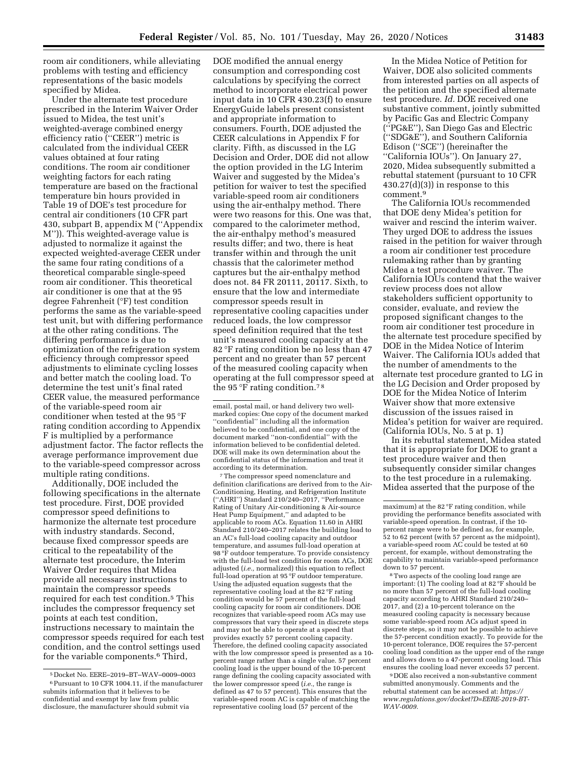room air conditioners, while alleviating problems with testing and efficiency representations of the basic models specified by Midea.

Under the alternate test procedure prescribed in the Interim Waiver Order issued to Midea, the test unit's weighted-average combined energy efficiency ratio (''CEER'') metric is calculated from the individual CEER values obtained at four rating conditions. The room air conditioner weighting factors for each rating temperature are based on the fractional temperature bin hours provided in Table 19 of DOE's test procedure for central air conditioners (10 CFR part 430, subpart B, appendix M (''Appendix M'')). This weighted-average value is adjusted to normalize it against the expected weighted-average CEER under the same four rating conditions of a theoretical comparable single-speed room air conditioner. This theoretical air conditioner is one that at the 95 degree Fahrenheit (°F) test condition performs the same as the variable-speed test unit, but with differing performance at the other rating conditions. The differing performance is due to optimization of the refrigeration system efficiency through compressor speed adjustments to eliminate cycling losses and better match the cooling load. To determine the test unit's final rated CEER value, the measured performance of the variable-speed room air conditioner when tested at the 95 °F rating condition according to Appendix F is multiplied by a performance adjustment factor. The factor reflects the average performance improvement due to the variable-speed compressor across multiple rating conditions.

Additionally, DOE included the following specifications in the alternate test procedure. First, DOE provided compressor speed definitions to harmonize the alternate test procedure with industry standards. Second, because fixed compressor speeds are critical to the repeatability of the alternate test procedure, the Interim Waiver Order requires that Midea provide all necessary instructions to maintain the compressor speeds required for each test condition.5 This includes the compressor frequency set points at each test condition, instructions necessary to maintain the compressor speeds required for each test condition, and the control settings used for the variable components.6 Third,

DOE modified the annual energy consumption and corresponding cost calculations by specifying the correct method to incorporate electrical power input data in 10 CFR 430.23(f) to ensure EnergyGuide labels present consistent and appropriate information to consumers. Fourth, DOE adjusted the CEER calculations in Appendix F for clarity. Fifth, as discussed in the LG Decision and Order, DOE did not allow the option provided in the LG Interim Waiver and suggested by the Midea's petition for waiver to test the specified variable-speed room air conditioners using the air-enthalpy method. There were two reasons for this. One was that, compared to the calorimeter method, the air-enthalpy method's measured results differ; and two, there is heat transfer within and through the unit chassis that the calorimeter method captures but the air-enthalpy method does not. 84 FR 20111, 20117. Sixth, to ensure that the low and intermediate compressor speeds result in representative cooling capacities under reduced loads, the low compressor speed definition required that the test unit's measured cooling capacity at the 82 °F rating condition be no less than 47 percent and no greater than 57 percent of the measured cooling capacity when operating at the full compressor speed at the 95 °F rating condition.7 8

7The compressor speed nomenclature and definition clarifications are derived from to the Air-Conditioning, Heating, and Refrigeration Institute (''AHRI'') Standard 210/240–2017, ''Performance Rating of Unitary Air-conditioning & Air-source Heat Pump Equipment,'' and adapted to be applicable to room ACs. Equation 11.60 in AHRI Standard 210/240–2017 relates the building load to an AC's full-load cooling capacity and outdoor temperature, and assumes full-load operation at 98 °F outdoor temperature. To provide consistency with the full-load test condition for room ACs, DOE adjusted (*i.e.,* normalized) this equation to reflect full-load operation at 95 °F outdoor temperature. Using the adjusted equation suggests that the representative cooling load at the 82 °F rating condition would be 57 percent of the full-load cooling capacity for room air conditioners. DOE recognizes that variable-speed room ACs may use compressors that vary their speed in discrete steps and may not be able to operate at a speed that provides exactly 57 percent cooling capacity. Therefore, the defined cooling capacity associated with the low compressor speed is presented as a 10 percent range rather than a single value. 57 percent cooling load is the upper bound of the 10-percent range defining the cooling capacity associated with the lower compressor speed (*i.e.,* the range is defined as 47 to 57 percent). This ensures that the variable-speed room AC is capable of matching the representative cooling load (57 percent of the

In the Midea Notice of Petition for Waiver, DOE also solicited comments from interested parties on all aspects of the petition and the specified alternate test procedure. *Id.* DOE received one substantive comment, jointly submitted by Pacific Gas and Electric Company (''PG&E''), San Diego Gas and Electric (''SDG&E''), and Southern California Edison (''SCE'') (hereinafter the ''California IOUs''). On January 27, 2020, Midea subsequently submitted a rebuttal statement (pursuant to 10 CFR  $430.27(d)(3)$  in response to this comment.9

The California IOUs recommended that DOE deny Midea's petition for waiver and rescind the interim waiver. They urged DOE to address the issues raised in the petition for waiver through a room air conditioner test procedure rulemaking rather than by granting Midea a test procedure waiver. The California IOUs contend that the waiver review process does not allow stakeholders sufficient opportunity to consider, evaluate, and review the proposed significant changes to the room air conditioner test procedure in the alternate test procedure specified by DOE in the Midea Notice of Interim Waiver. The California IOUs added that the number of amendments to the alternate test procedure granted to LG in the LG Decision and Order proposed by DOE for the Midea Notice of Interim Waiver show that more extensive discussion of the issues raised in Midea's petition for waiver are required. (California IOUs, No. 5 at p. 1)

In its rebuttal statement, Midea stated that it is appropriate for DOE to grant a test procedure waiver and then subsequently consider similar changes to the test procedure in a rulemaking. Midea asserted that the purpose of the

<sup>8</sup>Two aspects of the cooling load range are important: (1) The cooling load at 82 °F should be no more than 57 percent of the full-load cooling capacity according to AHRI Standard 210/240– 2017, and (2) a 10-percent tolerance on the measured cooling capacity is necessary because some variable-speed room ACs adjust speed in discrete steps, so it may not be possible to achieve the 57-percent condition exactly. To provide for the 10-percent tolerance, DOE requires the 57-percent cooling load condition as the upper end of the range and allows down to a 47-percent cooling load. This ensures the cooling load never exceeds 57 percent.

9 DOE also received a non-substantive comment submitted anonymously. Comments and the rebuttal statement can be accessed at: *[https://](https://www.regulations.gov/docket?D=EERE-2019-BT-WAV-0009) [www.regulations.gov/docket?D=EERE-2019-BT-](https://www.regulations.gov/docket?D=EERE-2019-BT-WAV-0009)[WAV-0009.](https://www.regulations.gov/docket?D=EERE-2019-BT-WAV-0009)* 

<sup>5</sup> Docket No. EERE–2019–BT–WAV–0009–0003 6Pursuant to 10 CFR 1004.11, if the manufacturer submits information that it believes to be confidential and exempt by law from public disclosure, the manufacturer should submit via

email, postal mail, or hand delivery two wellmarked copies: One copy of the document marked ''confidential'' including all the information believed to be confidential, and one copy of the document marked ''non-confidential'' with the information believed to be confidential deleted. DOE will make its own determination about the confidential status of the information and treat it according to its determination.

maximum) at the 82 °F rating condition, while providing the performance benefits associated with variable-speed operation. In contrast, if the 10 percent range were to be defined as, for example, 52 to 62 percent (with 57 percent as the midpoint), a variable-speed room AC could be tested at 60 percent, for example, without demonstrating the capability to maintain variable-speed performance down to 57 percent.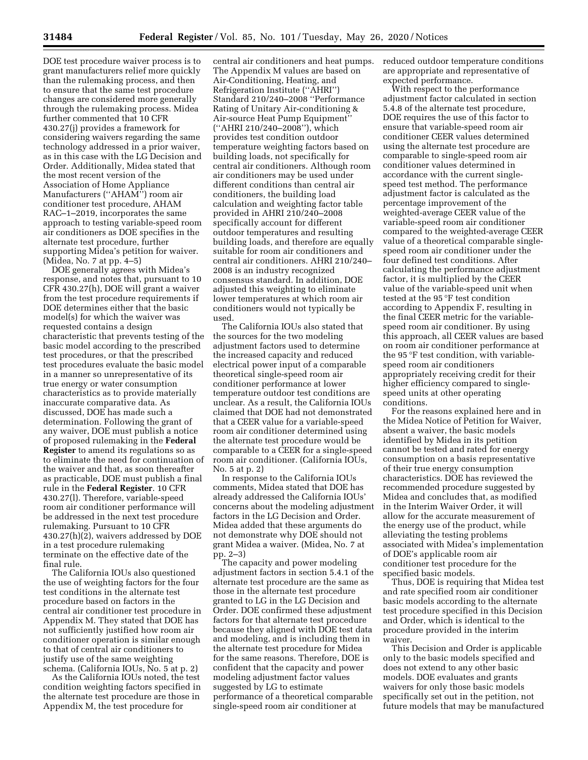DOE test procedure waiver process is to grant manufacturers relief more quickly than the rulemaking process, and then to ensure that the same test procedure changes are considered more generally through the rulemaking process. Midea further commented that 10 CFR 430.27(j) provides a framework for considering waivers regarding the same technology addressed in a prior waiver, as in this case with the LG Decision and Order. Additionally, Midea stated that the most recent version of the Association of Home Appliance Manufacturers (''AHAM'') room air conditioner test procedure, AHAM RAC–1–2019, incorporates the same approach to testing variable-speed room air conditioners as DOE specifies in the alternate test procedure, further supporting Midea's petition for waiver. (Midea, No. 7 at pp. 4–5)

DOE generally agrees with Midea's response, and notes that, pursuant to 10 CFR 430.27(h), DOE will grant a waiver from the test procedure requirements if DOE determines either that the basic model(s) for which the waiver was requested contains a design characteristic that prevents testing of the basic model according to the prescribed test procedures, or that the prescribed test procedures evaluate the basic model in a manner so unrepresentative of its true energy or water consumption characteristics as to provide materially inaccurate comparative data. As discussed, DOE has made such a determination. Following the grant of any waiver, DOE must publish a notice of proposed rulemaking in the **Federal Register** to amend its regulations so as to eliminate the need for continuation of the waiver and that, as soon thereafter as practicable, DOE must publish a final rule in the **Federal Register**. 10 CFR 430.27(l). Therefore, variable-speed room air conditioner performance will be addressed in the next test procedure rulemaking. Pursuant to 10 CFR 430.27(h)(2), waivers addressed by DOE in a test procedure rulemaking terminate on the effective date of the final rule.

The California IOUs also questioned the use of weighting factors for the four test conditions in the alternate test procedure based on factors in the central air conditioner test procedure in Appendix M. They stated that DOE has not sufficiently justified how room air conditioner operation is similar enough to that of central air conditioners to justify use of the same weighting schema. (California IOUs, No. 5 at p. 2)

As the California IOUs noted, the test condition weighting factors specified in the alternate test procedure are those in Appendix M, the test procedure for

central air conditioners and heat pumps. The Appendix M values are based on Air-Conditioning, Heating, and Refrigeration Institute (''AHRI'') Standard 210/240–2008 ''Performance Rating of Unitary Air-conditioning & Air-source Heat Pump Equipment'' (''AHRI 210/240–2008''), which provides test condition outdoor temperature weighting factors based on building loads, not specifically for central air conditioners. Although room air conditioners may be used under different conditions than central air conditioners, the building load calculation and weighting factor table provided in AHRI 210/240–2008 specifically account for different outdoor temperatures and resulting building loads, and therefore are equally suitable for room air conditioners and central air conditioners. AHRI 210/240– 2008 is an industry recognized consensus standard. In addition, DOE adjusted this weighting to eliminate lower temperatures at which room air conditioners would not typically be used.

The California IOUs also stated that the sources for the two modeling adjustment factors used to determine the increased capacity and reduced electrical power input of a comparable theoretical single-speed room air conditioner performance at lower temperature outdoor test conditions are unclear. As a result, the California IOUs claimed that DOE had not demonstrated that a CEER value for a variable-speed room air conditioner determined using the alternate test procedure would be comparable to a CEER for a single-speed room air conditioner. (California IOUs, No. 5 at p. 2)

In response to the California IOUs comments, Midea stated that DOE has already addressed the California IOUs' concerns about the modeling adjustment factors in the LG Decision and Order. Midea added that these arguments do not demonstrate why DOE should not grant Midea a waiver. (Midea, No. 7 at pp. 2–3)

The capacity and power modeling adjustment factors in section 5.4.1 of the alternate test procedure are the same as those in the alternate test procedure granted to LG in the LG Decision and Order. DOE confirmed these adjustment factors for that alternate test procedure because they aligned with DOE test data and modeling, and is including them in the alternate test procedure for Midea for the same reasons. Therefore, DOE is confident that the capacity and power modeling adjustment factor values suggested by LG to estimate performance of a theoretical comparable single-speed room air conditioner at

reduced outdoor temperature conditions are appropriate and representative of expected performance.

With respect to the performance adjustment factor calculated in section 5.4.8 of the alternate test procedure, DOE requires the use of this factor to ensure that variable-speed room air conditioner CEER values determined using the alternate test procedure are comparable to single-speed room air conditioner values determined in accordance with the current singlespeed test method. The performance adjustment factor is calculated as the percentage improvement of the weighted-average CEER value of the variable-speed room air conditioner compared to the weighted-average CEER value of a theoretical comparable singlespeed room air conditioner under the four defined test conditions. After calculating the performance adjustment factor, it is multiplied by the CEER value of the variable-speed unit when tested at the 95 °F test condition according to Appendix F, resulting in the final CEER metric for the variablespeed room air conditioner. By using this approach, all CEER values are based on room air conditioner performance at the 95 °F test condition, with variablespeed room air conditioners appropriately receiving credit for their higher efficiency compared to singlespeed units at other operating conditions.

For the reasons explained here and in the Midea Notice of Petition for Waiver, absent a waiver, the basic models identified by Midea in its petition cannot be tested and rated for energy consumption on a basis representative of their true energy consumption characteristics. DOE has reviewed the recommended procedure suggested by Midea and concludes that, as modified in the Interim Waiver Order, it will allow for the accurate measurement of the energy use of the product, while alleviating the testing problems associated with Midea's implementation of DOE's applicable room air conditioner test procedure for the specified basic models.

Thus, DOE is requiring that Midea test and rate specified room air conditioner basic models according to the alternate test procedure specified in this Decision and Order, which is identical to the procedure provided in the interim waiver.

This Decision and Order is applicable only to the basic models specified and does not extend to any other basic models. DOE evaluates and grants waivers for only those basic models specifically set out in the petition, not future models that may be manufactured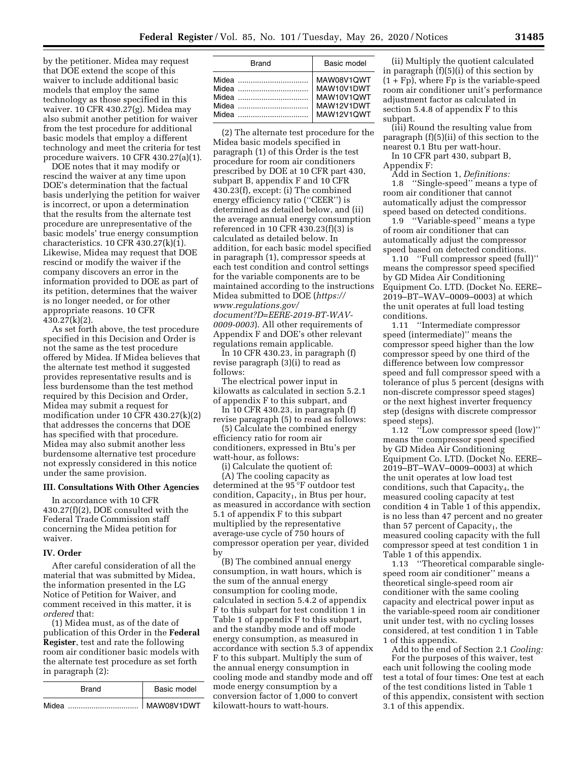by the petitioner. Midea may request that DOE extend the scope of this waiver to include additional basic models that employ the same technology as those specified in this waiver. 10 CFR 430.27(g). Midea may also submit another petition for waiver from the test procedure for additional basic models that employ a different technology and meet the criteria for test procedure waivers. 10 CFR 430.27(a)(1).

DOE notes that it may modify or rescind the waiver at any time upon DOE's determination that the factual basis underlying the petition for waiver is incorrect, or upon a determination that the results from the alternate test procedure are unrepresentative of the basic models' true energy consumption characteristics. 10 CFR 430.27(k)(1). Likewise, Midea may request that DOE rescind or modify the waiver if the company discovers an error in the information provided to DOE as part of its petition, determines that the waiver is no longer needed, or for other appropriate reasons. 10 CFR 430.27(k)(2).

As set forth above, the test procedure specified in this Decision and Order is not the same as the test procedure offered by Midea. If Midea believes that the alternate test method it suggested provides representative results and is less burdensome than the test method required by this Decision and Order, Midea may submit a request for modification under 10 CFR 430.27(k)(2) that addresses the concerns that DOE has specified with that procedure. Midea may also submit another less burdensome alternative test procedure not expressly considered in this notice under the same provision.

#### **III. Consultations With Other Agencies**

In accordance with 10 CFR 430.27(f)(2), DOE consulted with the Federal Trade Commission staff concerning the Midea petition for waiver.

## **IV. Order**

After careful consideration of all the material that was submitted by Midea, the information presented in the LG Notice of Petition for Waiver, and comment received in this matter, it is *ordered* that:

(1) Midea must, as of the date of publication of this Order in the **Federal Register**, test and rate the following room air conditioner basic models with the alternate test procedure as set forth in paragraph (2):

| Brand | Basic model |  |  |
|-------|-------------|--|--|
| Midea | MAW08V1DWT  |  |  |

| <b>Brand</b>            | Basic model                                                        |  |  |
|-------------------------|--------------------------------------------------------------------|--|--|
| Midea<br>Midea<br>Midea | MAW08V1QWT<br>MAW10V1DWT<br>MAW10V1QWT<br>MAW12V1DWT<br>MAW12V1QWT |  |  |

(2) The alternate test procedure for the Midea basic models specified in paragraph (1) of this Order is the test procedure for room air conditioners prescribed by DOE at 10 CFR part 430, subpart B, appendix F and 10 CFR 430.23(f), except: (i) The combined energy efficiency ratio (''CEER'') is determined as detailed below, and (ii) the average annual energy consumption referenced in 10 CFR 430.23(f)(3) is calculated as detailed below. In addition, for each basic model specified in paragraph (1), compressor speeds at each test condition and control settings for the variable components are to be maintained according to the instructions Midea submitted to DOE (*[https://](https://www.regulations.gov/document?D=EERE-2019-BT-WAV-0009-0003) [www.regulations.gov/](https://www.regulations.gov/document?D=EERE-2019-BT-WAV-0009-0003) [document?D=EERE-2019-BT-WAV-](https://www.regulations.gov/document?D=EERE-2019-BT-WAV-0009-0003)*

*[0009-0003](https://www.regulations.gov/document?D=EERE-2019-BT-WAV-0009-0003)*). All other requirements of Appendix F and DOE's other relevant regulations remain applicable.

In 10 CFR 430.23, in paragraph (f) revise paragraph (3)(i) to read as follows:

The electrical power input in kilowatts as calculated in section 5.2.1 of appendix F to this subpart, and

In 10 CFR 430.23, in paragraph (f) revise paragraph (5) to read as follows:

(5) Calculate the combined energy efficiency ratio for room air conditioners, expressed in Btu's per watt-hour, as follows:

(i) Calculate the quotient of:

(A) The cooling capacity as determined at the 95 °F outdoor test condition, Capacity<sub>1</sub>, in Btus per hour, as measured in accordance with section 5.1 of appendix F to this subpart multiplied by the representative average-use cycle of 750 hours of compressor operation per year, divided by

(B) The combined annual energy consumption, in watt hours, which is the sum of the annual energy consumption for cooling mode, calculated in section 5.4.2 of appendix F to this subpart for test condition 1 in Table 1 of appendix F to this subpart, and the standby mode and off mode energy consumption, as measured in accordance with section 5.3 of appendix F to this subpart. Multiply the sum of the annual energy consumption in cooling mode and standby mode and off mode energy consumption by a conversion factor of 1,000 to convert kilowatt-hours to watt-hours.

(ii) Multiply the quotient calculated in paragraph (f)(5)(i) of this section by  $(1 + Fp)$ , where  $Fp$  is the variable-speed room air conditioner unit's performance adjustment factor as calculated in section 5.4.8 of appendix F to this subpart.

(iii) Round the resulting value from paragraph (f)(5)(ii) of this section to the nearest 0.1 Btu per watt-hour.

In 10 CFR part 430, subpart B,

Appendix F:

Add in Section 1, *Definitions:*  1.8 ''Single-speed'' means a type of room air conditioner that cannot automatically adjust the compressor speed based on detected conditions.

1.9 ''Variable-speed'' means a type of room air conditioner that can automatically adjust the compressor speed based on detected conditions.

1.10 ''Full compressor speed (full)'' means the compressor speed specified by GD Midea Air Conditioning Equipment Co. LTD. (Docket No. EERE– 2019–BT–WAV–0009–0003) at which the unit operates at full load testing conditions.

1.11 ''Intermediate compressor speed (intermediate)'' means the compressor speed higher than the low compressor speed by one third of the difference between low compressor speed and full compressor speed with a tolerance of plus 5 percent (designs with non-discrete compressor speed stages) or the next highest inverter frequency step (designs with discrete compressor speed steps).

1.12 ''Low compressor speed (low)'' means the compressor speed specified by GD Midea Air Conditioning Equipment Co. LTD. (Docket No. EERE– 2019–BT–WAV–0009–0003) at which the unit operates at low load test conditions, such that Capacity<sub>4</sub>, the measured cooling capacity at test condition 4 in Table 1 of this appendix, is no less than 47 percent and no greater than 57 percent of Capacity<sub>1</sub>, the measured cooling capacity with the full compressor speed at test condition 1 in Table 1 of this appendix.

1.13 ''Theoretical comparable singlespeed room air conditioner'' means a theoretical single-speed room air conditioner with the same cooling capacity and electrical power input as the variable-speed room air conditioner unit under test, with no cycling losses considered, at test condition 1 in Table 1 of this appendix.

Add to the end of Section 2.1 *Cooling:*  For the purposes of this waiver, test each unit following the cooling mode test a total of four times: One test at each of the test conditions listed in Table 1 of this appendix, consistent with section 3.1 of this appendix.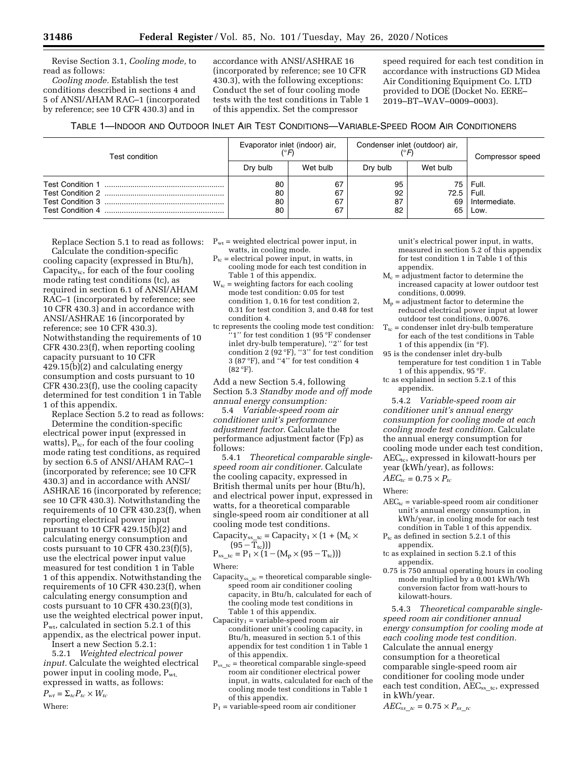Revise Section 3.1, *Cooling mode,* to read as follows:

*Cooling mode.* Establish the test conditions described in sections 4 and 5 of ANSI/AHAM RAC–1 (incorporated by reference; see 10 CFR 430.3) and in

accordance with ANSI/ASHRAE 16 (incorporated by reference; see 10 CFR 430.3), with the following exceptions: Conduct the set of four cooling mode tests with the test conditions in Table 1 of this appendix. Set the compressor

speed required for each test condition in accordance with instructions GD Midea Air Conditioning Equipment Co. LTD provided to DOE (Docket No. EERE– 2019–BT–WAV–0009–0003).

# TABLE 1—INDOOR AND OUTDOOR INLET AIR TEST CONDITIONS—VARIABLE-SPEED ROOM AIR CONDITIONERS

| Test condition | Evaporator inlet (indoor) air,<br>$\binom{^\circ}{^\circ}$ F) |                      | Condenser inlet (outdoor) air, |                          | Compressor speed                        |
|----------------|---------------------------------------------------------------|----------------------|--------------------------------|--------------------------|-----------------------------------------|
|                | Dry bulb                                                      | Wet bulb             | Dry bulb                       | Wet bulb                 |                                         |
|                | 80<br>80<br>80<br>80                                          | 67<br>67<br>67<br>67 | 95<br>92<br>87<br>82           | 75 I<br>72.5<br>69<br>65 | Full.<br>Full.<br>Intermediate.<br>Low. |

Replace Section 5.1 to read as follows: Calculate the condition-specific cooling capacity (expressed in Btu/h), Capacity<sub>te</sub>, for each of the four cooling mode rating test conditions (tc), as required in section 6.1 of ANSI/AHAM RAC–1 (incorporated by reference; see 10 CFR 430.3) and in accordance with ANSI/ASHRAE 16 (incorporated by reference; see 10 CFR 430.3). Notwithstanding the requirements of 10 CFR 430.23(f), when reporting cooling capacity pursuant to 10 CFR 429.15(b)(2) and calculating energy consumption and costs pursuant to 10 CFR 430.23(f), use the cooling capacity determined for test condition 1 in Table 1 of this appendix.

Replace Section 5.2 to read as follows: Determine the condition-specific electrical power input (expressed in watts),  $P_{tc}$ , for each of the four cooling mode rating test conditions, as required by section 6.5 of ANSI/AHAM RAC–1 (incorporated by reference; see 10 CFR 430.3) and in accordance with ANSI/ ASHRAE 16 (incorporated by reference; see 10 CFR 430.3). Notwithstanding the requirements of 10 CFR 430.23(f), when reporting electrical power input pursuant to 10 CFR 429.15(b)(2) and calculating energy consumption and costs pursuant to 10 CFR  $430.23(f)(5)$ , use the electrical power input value measured for test condition 1 in Table 1 of this appendix. Notwithstanding the requirements of 10 CFR 430.23(f), when calculating energy consumption and costs pursuant to 10 CFR 430.23(f)(3), use the weighted electrical power input, Pwt, calculated in section 5.2.1 of this appendix, as the electrical power input. Insert a new Section 5.2.1:

5.2.1 *Weighted electrical power input.* Calculate the weighted electrical power input in cooling mode,  $P_{wt}$ , expressed in watts, as follows:

 $P_{wt} = \sum_{tc} P_{tc} \times W_{tc}$ 

Where:

- $P_{wt}$  = weighted electrical power input, in watts, in cooling mode.
- $P_{tc}$  = electrical power input, in watts, in cooling mode for each test condition in Table 1 of this appendix.
- $W_{tc}$  = weighting factors for each cooling mode test condition: 0.05 for test condition 1, 0.16 for test condition 2, 0.31 for test condition 3, and 0.48 for test condition 4.
- tc represents the cooling mode test condition: '1" for test condition 1 (95 °F condenser inlet dry-bulb temperature), "2" for test condition 2  $(92 \text{ }^\circ)$ , "3" for test condition 3 (87 °F), and ''4'' for test condition 4  $(82 °F)$ .

Add a new Section 5.4, following Section 5.3 *Standby mode and off mode annual energy consumption:* 

5.4 *Variable-speed room air conditioner unit's performance adjustment factor.* Calculate the performance adjustment factor (Fp) as follows:

5.4.1 *Theoretical comparable singlespeed room air conditioner.* Calculate the cooling capacity, expressed in British thermal units per hour (Btu/h), and electrical power input, expressed in watts, for a theoretical comparable single-speed room air conditioner at all cooling mode test conditions.

Capacity<sub>ss\_tc</sub> = Capacity<sub>1</sub>  $\times$  (1 + (M<sub>c</sub>  $\times$  $(95-\overline{T}_{\text{tc}}))$ )

 $P_{ss\_tc} = P_1 \times (1 - (M_p \times (95 - T_{tc})))$ Where:

- Capacity<sub>ss tc</sub> = theoretical comparable singlespeed room air conditioner cooling capacity, in Btu/h, calculated for each of the cooling mode test conditions in Table 1 of this appendix.
- $Capacity<sub>1</sub> = variable-speed room air$ conditioner unit's cooling capacity, in Btu/h, measured in section 5.1 of this appendix for test condition 1 in Table 1 of this appendix.
- $P_{ss\_tc}$  = theoretical comparable single-speed room air conditioner electrical power input, in watts, calculated for each of the cooling mode test conditions in Table 1 of this appendix.
- $P_1$  = variable-speed room air conditioner

unit's electrical power input, in watts, measured in section 5.2 of this appendix for test condition 1 in Table 1 of this appendix.

- $M_c$  = adjustment factor to determine the increased capacity at lower outdoor test conditions, 0.0099.
- $M_p$  = adjustment factor to determine the reduced electrical power input at lower outdoor test conditions, 0.0076.
- $T_{tc}$  = condenser inlet dry-bulb temperature for each of the test conditions in Table 1 of this appendix (in  $\mathrm{P}F$ ).
- 95 is the condenser inlet dry-bulb temperature for test condition 1 in Table 1 of this appendix, 95 °F.
- tc as explained in section 5.2.1 of this appendix.

5.4.2 *Variable-speed room air conditioner unit's annual energy consumption for cooling mode at each cooling mode test condition.* Calculate the annual energy consumption for cooling mode under each test condition,  $AEC_{tc}$ , expressed in kilowatt-hours per year (kWh/year), as follows:

 $AEC_{tc} = 0.75 \times P_{tc}$ 

Where:

- $AEC_{tc}$  = variable-speed room air conditioner unit's annual energy consumption, in kWh/year, in cooling mode for each test condition in Table 1 of this appendix.
- $P_{tc}$  as defined in section 5.2.1 of this appendix.
- tc as explained in section 5.2.1 of this appendix.
- 0.75 is 750 annual operating hours in cooling mode multiplied by a 0.001 kWh/Wh conversion factor from watt-hours to kilowatt-hours.

5.4.3 *Theoretical comparable singlespeed room air conditioner annual energy consumption for cooling mode at each cooling mode test condition.*  Calculate the annual energy consumption for a theoretical comparable single-speed room air conditioner for cooling mode under each test condition, AEC<sub>sstc</sub>, expressed in kWh/year.

 $AEC_{ss\_tc} = 0.75 \times P_{ss\_tc}$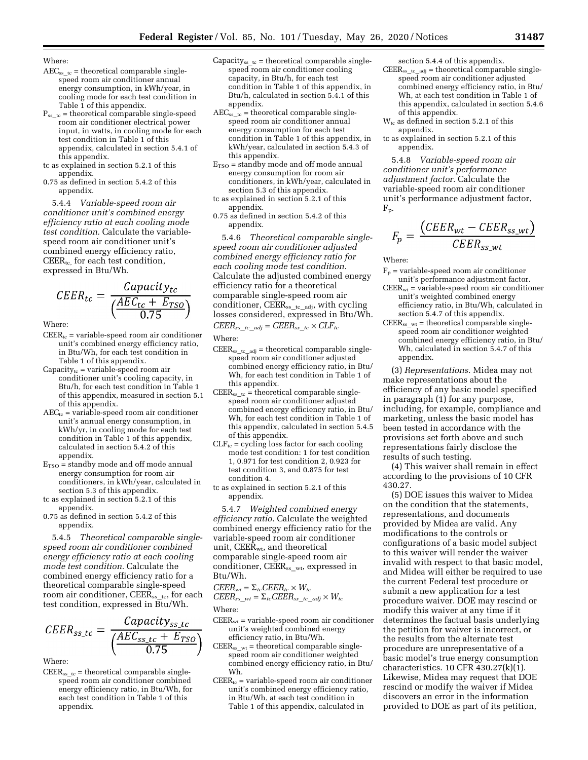Where:

- $AEC_{ss\_tc}$  = theoretical comparable singlespeed room air conditioner annual energy consumption, in kWh/year, in cooling mode for each test condition in Table 1 of this appendix.
- $P_{ss}$ <sub>tc</sub> = theoretical comparable single-speed room air conditioner electrical power input, in watts, in cooling mode for each test condition in Table 1 of this appendix, calculated in section 5.4.1 of this appendix.
- tc as explained in section 5.2.1 of this appendix.
- 0.75 as defined in section 5.4.2 of this appendix.

5.4.4 *Variable-speed room air conditioner unit's combined energy efficiency ratio at each cooling mode test condition.* Calculate the variablespeed room air conditioner unit's combined energy efficiency ratio,  $CETER_{tc.}$  for each test condition, expressed in Btu/Wh.

$$
CEER_{tc} = \frac{Capacity_{tc}}{\left(\frac{AEC_{tc} + E_{TSO}}{0.75}\right)}
$$

Where:

- $C E E R_{tc}$  = variable-speed room air conditioner unit's combined energy efficiency ratio, in Btu/Wh, for each test condition in Table 1 of this appendix.
- Capacity $_{tc}$  = variable-speed room air conditioner unit's cooling capacity, in Btu/h, for each test condition in Table 1 of this appendix, measured in section 5.1 of this appendix.
- $AEC_{tc}$  = variable-speed room air conditioner unit's annual energy consumption, in kWh/yr, in cooling mode for each test condition in Table 1 of this appendix, calculated in section 5.4.2 of this appendix.
- $E_{\text{TSO}}$  = standby mode and off mode annual energy consumption for room air conditioners, in kWh/year, calculated in section 5.3 of this appendix.
- tc as explained in section 5.2.1 of this appendix.
- 0.75 as defined in section 5.4.2 of this appendix.

5.4.5 *Theoretical comparable singlespeed room air conditioner combined energy efficiency ratio at each cooling mode test condition.* Calculate the combined energy efficiency ratio for a theoretical comparable single-speed room air conditioner, CEER<sub>ss\_tc</sub>, for each test condition, expressed in Btu/Wh.

$$
CEER_{ss\_tc} = \frac{Capacity_{ss\_tc}}{\left(\frac{AEC_{ss\_tc} + E_{TSO}}{0.75}\right)}
$$

Where:

 $CETER<sub>ss</sub>te = theoretical comparable single$ speed room air conditioner combined energy efficiency ratio, in Btu/Wh, for each test condition in Table 1 of this appendix.

- Capacity<sub>ss tc</sub> = theoretical comparable singlespeed room air conditioner cooling capacity, in Btu/h, for each test condition in Table 1 of this appendix, in Btu/h, calculated in section 5.4.1 of this appendix.
- $AEC_{ss\_tc}$  = theoretical comparable singlespeed room air conditioner annual energy consumption for each test condition in Table 1 of this appendix, in kWh/year, calculated in section 5.4.3 of this appendix.
- $E_{\text{TSO}}$  = standby mode and off mode annual energy consumption for room air conditioners, in kWh/year, calculated in section 5.3 of this appendix.
- tc as explained in section 5.2.1 of this appendix.
- 0.75 as defined in section 5.4.2 of this appendix.

5.4.6 *Theoretical comparable singlespeed room air conditioner adjusted combined energy efficiency ratio for each cooling mode test condition.*  Calculate the adjusted combined energy efficiency ratio for a theoretical comparable single-speed room air conditioner,  $C E E R_{ss\_tc\_adj}$ , with cycling losses considered, expressed in Btu/Wh.

 $CEER_{ss}$ <sub>*tc*</sub>  $_{adj} = CEER_{ss}$ <sub>*tc*</sub> ×  $CLF_{tc}$ 

- $\mathrm{CEER}_{\mathrm{ss}\_\mathrm{tc}\_\mathrm{adj}}$  = theoretical comparable singlespeed room air conditioner adjusted combined energy efficiency ratio, in Btu/ Wh, for each test condition in Table 1 of this appendix.
- CEER<sub>ss tc</sub> = theoretical comparable singlespeed room air conditioner adjusted combined energy efficiency ratio, in Btu/ Wh, for each test condition in Table 1 of this appendix, calculated in section 5.4.5 of this appendix.
- $CLF_{tc}$  = cycling loss factor for each cooling mode test condition: 1 for test condition 1, 0.971 for test condition 2, 0.923 for test condition 3, and 0.875 for test condition 4.
- tc as explained in section 5.2.1 of this appendix.

5.4.7 *Weighted combined energy efficiency ratio.* Calculate the weighted combined energy efficiency ratio for the variable-speed room air conditioner unit, CEER<sub>wt</sub>, and theoretical comparable single-speed room air conditioner,  $C E E R_{ss-wt}$ , expressed in Btu/Wh.

$$
CEER_{wt} = \Sigma_{tc} CEER_{tc} \times W_{tc}
$$
  
CEER<sub>ss\_wt</sub> =  $\Sigma_{tc} CEER_{ss\_tc\_adj} \times W_{tc}$ 

Where:

- $C E E R_{wt}$  = variable-speed room air conditioner unit's weighted combined energy efficiency ratio, in Btu/Wh.
- $C EER<sub>ss_wt</sub> = theoretical comparable single$ speed room air conditioner weighted combined energy efficiency ratio, in Btu/ Wh.
- $C E E R_{tc}$  = variable-speed room air conditioner unit's combined energy efficiency ratio, in Btu/Wh, at each test condition in Table 1 of this appendix, calculated in
- section 5.4.4 of this appendix.  $C E E R_{ss\_tc\_adj} =$  theoretical comparable singlespeed room air conditioner adjusted combined energy efficiency ratio, in Btu/
	- Wh, at each test condition in Table 1 of this appendix, calculated in section 5.4.6 of this appendix.
- $W_{tc}$  as defined in section 5.2.1 of this appendix.
- tc as explained in section 5.2.1 of this appendix.

5.4.8 *Variable-speed room air conditioner unit's performance adjustment factor.* Calculate the variable-speed room air conditioner unit's performance adjustment factor, Fp.

$$
F_p = \frac{(CEER_{wt} - CEER_{ss\_wt})}{CEER_{ss\_wt}}
$$

Where:

- $F_p$  = variable-speed room air conditioner unit's performance adjustment factor.
- $CEB<sub>wt</sub>$  = variable-speed room air conditioner unit's weighted combined energy efficiency ratio, in Btu/Wh, calculated in section 5.4.7 of this appendix.
- $C E E R_{ss\_wt}$  = theoretical comparable singlespeed room air conditioner weighted combined energy efficiency ratio, in Btu/ Wh, calculated in section 5.4.7 of this appendix.

(3) *Representations.* Midea may not make representations about the efficiency of any basic model specified in paragraph (1) for any purpose, including, for example, compliance and marketing, unless the basic model has been tested in accordance with the provisions set forth above and such representations fairly disclose the results of such testing.

(4) This waiver shall remain in effect according to the provisions of 10 CFR 430.27.

(5) DOE issues this waiver to Midea on the condition that the statements, representations, and documents provided by Midea are valid. Any modifications to the controls or configurations of a basic model subject to this waiver will render the waiver invalid with respect to that basic model, and Midea will either be required to use the current Federal test procedure or submit a new application for a test procedure waiver. DOE may rescind or modify this waiver at any time if it determines the factual basis underlying the petition for waiver is incorrect, or the results from the alternate test procedure are unrepresentative of a basic model's true energy consumption characteristics. 10 CFR 430.27(k)(1). Likewise, Midea may request that DOE rescind or modify the waiver if Midea discovers an error in the information provided to DOE as part of its petition,

Where: